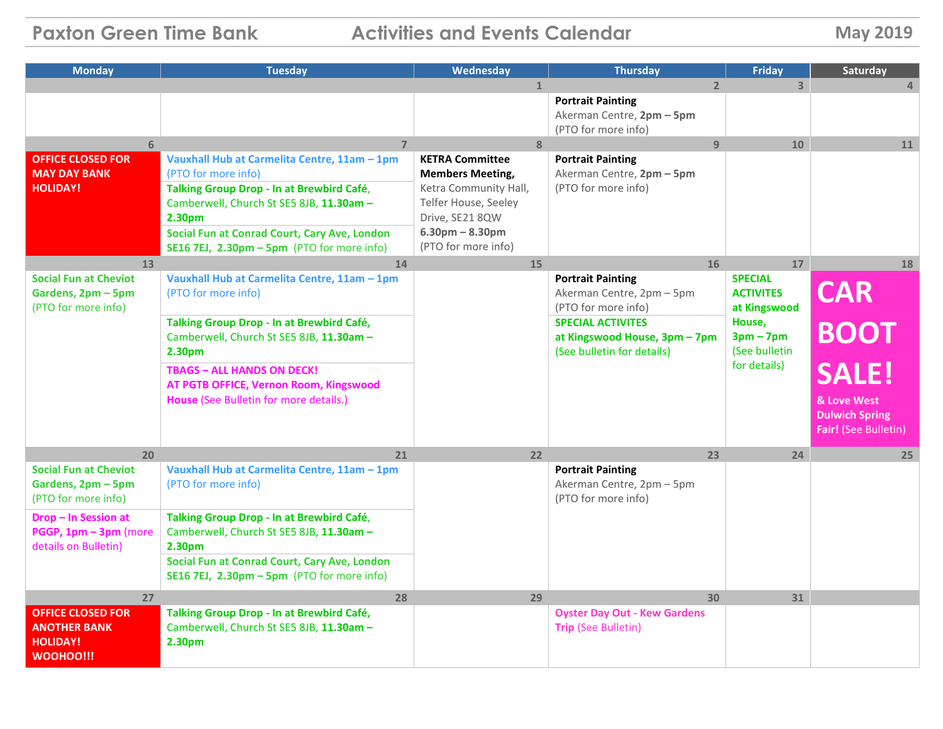**Paxton Green Time Bank Activities and Events Calendar <b>May** 2019

| <b>Monday</b>                                 | <b>Tuesday</b>                                               | Wednesday               | <b>Thursday</b>                           | <b>Friday</b>        | Saturday              |
|-----------------------------------------------|--------------------------------------------------------------|-------------------------|-------------------------------------------|----------------------|-----------------------|
|                                               |                                                              |                         | $\overline{2}$                            | $\overline{3}$       | $\Delta$              |
|                                               |                                                              |                         | <b>Portrait Painting</b>                  |                      |                       |
|                                               |                                                              |                         | Akerman Centre, 2pm - 5pm                 |                      |                       |
| 6                                             | $\overline{7}$                                               | $\overline{8}$          | (PTO for more info)<br>$\overline{9}$     | 10                   | 11                    |
| <b>OFFICE CLOSED FOR</b>                      | Vauxhall Hub at Carmelita Centre, 11am - 1pm                 | <b>KETRA Committee</b>  | <b>Portrait Painting</b>                  |                      |                       |
| <b>MAY DAY BANK</b>                           | (PTO for more info)                                          | <b>Members Meeting,</b> | Akerman Centre, 2pm - 5pm                 |                      |                       |
| <b>HOLIDAY!</b>                               | Talking Group Drop - In at Brewbird Café,                    | Ketra Community Hall,   | (PTO for more info)                       |                      |                       |
|                                               | Camberwell, Church St SE5 8JB, 11.30am -                     | Telfer House, Seeley    |                                           |                      |                       |
|                                               | 2.30pm                                                       | Drive, SE21 8QW         |                                           |                      |                       |
|                                               | Social Fun at Conrad Court, Cary Ave, London                 | $6.30pm - 8.30pm$       |                                           |                      |                       |
|                                               | SE16 7EJ, $2.30 \text{pm} - 5 \text{pm}$ (PTO for more info) | (PTO for more info)     |                                           |                      |                       |
| 13<br><b>Social Fun at Cheviot</b>            | 14<br>Vauxhall Hub at Carmelita Centre, 11am - 1pm           | 15                      | 16<br><b>Portrait Painting</b>            | 17<br><b>SPECIAL</b> | 18                    |
| Gardens, 2pm - 5pm                            | (PTO for more info)                                          |                         | Akerman Centre, 2pm - 5pm                 | <b>ACTIVITES</b>     | <b>CAR</b>            |
| (PTO for more info)                           |                                                              |                         | (PTO for more info)                       | at Kingswood         |                       |
|                                               | Talking Group Drop - In at Brewbird Café,                    |                         | <b>SPECIAL ACTIVITES</b>                  | House,               |                       |
|                                               | Camberwell, Church St SE5 8JB, 11.30am -                     |                         | at Kingswood House, 3pm - 7pm             | $3pm - 7pm$          | <b>BOOT</b>           |
|                                               | 2.30 <sub>pm</sub>                                           |                         | (See bulletin for details)                | (See bulletin        |                       |
|                                               | <b>TBAGS - ALL HANDS ON DECK!</b>                            |                         |                                           | for details)         | SALEL                 |
|                                               | AT PGTB OFFICE, Vernon Room, Kingswood                       |                         |                                           |                      |                       |
|                                               | House (See Bulletin for more details.)                       |                         |                                           |                      | & Love West           |
|                                               |                                                              |                         |                                           |                      | <b>Dulwich Spring</b> |
|                                               |                                                              |                         |                                           |                      | Fair! (See Bulletin)  |
| 20                                            | 21                                                           | 22                      | 23                                        | 24                   | 25                    |
| <b>Social Fun at Cheviot</b>                  | Vauxhall Hub at Carmelita Centre, 11am - 1pm                 |                         | <b>Portrait Painting</b>                  |                      |                       |
| Gardens, 2pm - 5pm                            | (PTO for more info)                                          |                         | Akerman Centre, 2pm - 5pm                 |                      |                       |
| (PTO for more info)                           |                                                              |                         | (PTO for more info)                       |                      |                       |
| Drop - In Session at                          | Talking Group Drop - In at Brewbird Café,                    |                         |                                           |                      |                       |
| PGGP, 1pm - 3pm (more<br>details on Bulletin) | Camberwell, Church St SE5 8JB, 11.30am -<br>2.30pm           |                         |                                           |                      |                       |
|                                               | Social Fun at Conrad Court, Cary Ave, London                 |                         |                                           |                      |                       |
|                                               | SE16 7EJ, $2.30 \text{pm} - 5 \text{pm}$ (PTO for more info) |                         |                                           |                      |                       |
|                                               |                                                              |                         |                                           |                      |                       |
| 27<br><b>OFFICE CLOSED FOR</b>                | 28<br>Talking Group Drop - In at Brewbird Café,              | 29                      | 30<br><b>Oyster Day Out - Kew Gardens</b> | 31                   |                       |
| <b>ANOTHER BANK</b>                           | Camberwell, Church St SE5 8JB, 11.30am -                     |                         | <b>Trip (See Bulletin)</b>                |                      |                       |
| <b>HOLIDAY!</b>                               | 2.30pm                                                       |                         |                                           |                      |                       |
| <b>WOOHOO!!!</b>                              |                                                              |                         |                                           |                      |                       |